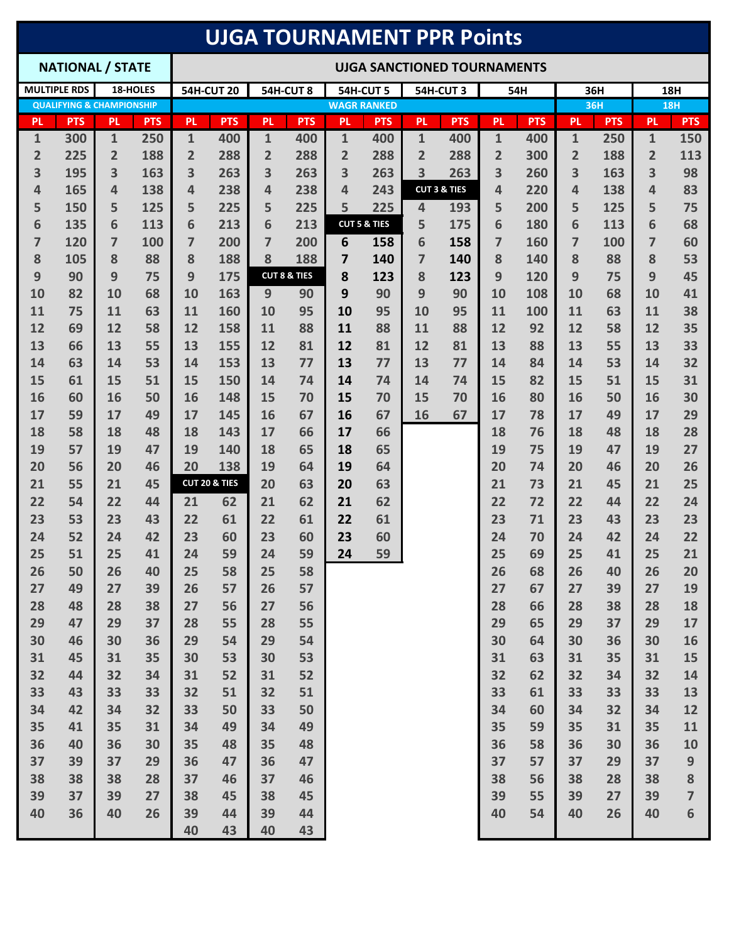|                                      | <b>UJGA TOURNAMENT PPR Points</b> |                |            |                                    |               |                |                         |                |                         |                |                                |                |            |                |            |                              |                  |
|--------------------------------------|-----------------------------------|----------------|------------|------------------------------------|---------------|----------------|-------------------------|----------------|-------------------------|----------------|--------------------------------|----------------|------------|----------------|------------|------------------------------|------------------|
|                                      | <b>NATIONAL / STATE</b>           |                |            | <b>UJGA SANCTIONED TOURNAMENTS</b> |               |                |                         |                |                         |                |                                |                |            |                |            |                              |                  |
| <b>MULTIPLE RDS</b><br>18-HOLES      |                                   |                |            | <b>54H-CUT 20</b><br>54H-CUT 8     |               |                |                         |                | 54H-CUT 5<br>54H-CUT3   |                |                                |                | 54H        | 36H            |            |                              | 18H              |
| <b>QUALIFYING &amp; CHAMPIONSHIP</b> |                                   |                |            |                                    |               |                | <b>WAGR RANKED</b>      |                |                         |                |                                |                | 36H        |                | <b>18H</b> |                              |                  |
| <b>PL</b>                            | <b>PTS</b>                        | <b>PL</b>      | <b>PTS</b> | <b>PL</b>                          | <b>PTS</b>    | <b>PL</b>      | <b>PTS</b>              | <b>PL</b>      | <b>PTS</b>              | <b>PL</b>      | <b>PTS</b>                     | <b>PL</b>      | <b>PTS</b> | <b>PL</b>      | <b>PTS</b> | <b>PL</b>                    | <b>PTS</b>       |
| 1                                    | 300                               | $\mathbf{1}$   | 250        | 1                                  | 400           | 1              | 400                     | $\mathbf{1}$   | 400                     | 1              | 400                            | 1              | 400        | $\mathbf{1}$   | 250        | 1                            | 150              |
| $\overline{2}$                       | 225                               | $\overline{2}$ | 188        | $\overline{2}$                     | 288           | $\overline{2}$ | 288                     | $\overline{2}$ | 288                     | $\overline{2}$ | 288                            | $\overline{2}$ | 300        | $\overline{2}$ | 188        | $\overline{2}$               | 113              |
| 3<br>4                               | 195<br>165                        | 3<br>4         | 163<br>138 | 3<br>4                             | 263<br>238    | 3<br>4         | 263<br>238              | 3<br>4         | 263<br>243              | 3              | 263<br><b>CUT 3 &amp; TIES</b> | 3<br>4         | 260<br>220 | 3<br>4         | 163<br>138 | $\overline{\mathbf{3}}$<br>4 | 98<br>83         |
| 5                                    | 150                               | 5              | 125        | 5                                  | 225           | 5              | 225                     | 5              | 225                     | 4              | 193                            | 5              | 200        | 5              | 125        | 5                            | 75               |
| 6                                    | 135                               | 6              | 113        | 6                                  | 213           | 6              | 213                     |                | <b>CUT 5 &amp; TIES</b> | 5              | 175                            | 6              | 180        | 6              | 113        | 6                            | 68               |
| 7                                    | 120                               | 7              | 100        | 7                                  | 200           | $\overline{7}$ | 200                     | 6              | 158                     | 6              | 158                            | $\overline{7}$ | 160        | $\overline{7}$ | 100        | 7                            | 60               |
| 8                                    | 105                               | 8              | 88         | 8                                  | 188           | 8              | 188                     | 7              | 140                     | 7              | 140                            | 8              | 140        | 8              | 88         | 8                            | 53               |
| 9                                    | 90                                | 9              | 75         | 9                                  | 175           |                | <b>CUT 8 &amp; TIES</b> | 8              | 123                     | 8              | 123                            | 9              | 120        | 9              | 75         | 9                            | 45               |
| 10                                   | 82                                | 10             | 68         | 10                                 | 163           | 9              | 90                      | 9              | 90                      | 9              | 90                             | 10             | 108        | 10             | 68         | 10                           | 41               |
| 11                                   | 75                                | 11             | 63         | 11                                 | 160           | 10             | 95                      | 10             | 95                      | 10             | 95                             | 11             | 100        | 11             | 63         | 11                           | 38               |
| 12                                   | 69                                | 12             | 58         | 12                                 | 158           | 11             | 88                      | 11             | 88                      | 11             | 88                             | 12             | 92         | 12             | 58         | 12                           | 35               |
| 13                                   | 66                                | 13             | 55         | 13                                 | 155           | 12             | 81                      | 12             | 81                      | 12             | 81                             | 13             | 88         | 13             | 55         | 13                           | 33               |
| 14                                   | 63                                | 14             | 53         | 14                                 | 153           | 13             | 77                      | 13             | 77                      | 13             | 77                             | 14             | 84         | 14             | 53         | 14                           | 32               |
| 15                                   | 61                                | 15             | 51         | 15                                 | 150           | 14             | 74                      | 14             | 74                      | 14             | 74                             | 15             | 82         | 15             | 51         | 15                           | 31               |
| 16                                   | 60                                | 16             | 50         | 16                                 | 148           | 15             | 70                      | 15             | 70                      | 15             | 70                             | 16             | 80         | 16             | 50         | 16                           | 30               |
| 17                                   | 59                                | 17             | 49         | 17                                 | 145           | 16             | 67                      | 16             | 67                      | 16             | 67                             | 17             | 78         | 17             | 49         | 17                           | 29               |
| 18<br>19                             | 58<br>57                          | 18<br>19       | 48<br>47   | 18<br>19                           | 143<br>140    | 17<br>18       | 66<br>65                | 17<br>18       | 66<br>65                |                |                                | 18<br>19       | 76<br>75   | 18<br>19       | 48<br>47   | 18<br>19                     | 28<br>27         |
| 20                                   | 56                                | 20             | 46         | 20                                 | 138           | 19             | 64                      | 19             | 64                      |                |                                | 20             | 74         | 20             | 46         | 20                           | 26               |
| 21                                   | 55                                | 21             | 45         |                                    | CUT 20 & TIES | 20             | 63                      | 20             | 63                      |                |                                | 21             | 73         | 21             | 45         | 21                           | 25               |
| 22                                   | 54                                | 22             | 44         | 21                                 | 62            | 21             | 62                      | 21             | 62                      |                |                                | 22             | 72         | 22             | 44         | 22                           | 24               |
| 23                                   | 53                                | 23             | 43         | 22                                 | 61            | 22             | 61                      | 22             | 61                      |                |                                | 23             | 71         | 23             | 43         | 23                           | 23               |
| 24                                   | 52                                | 24             | 42         | 23                                 | 60            | 23             | 60                      | 23             | 60                      |                |                                | 24             | 70         | 24             | 42         | 24                           | 22               |
| 25                                   | 51                                | 25             | 41         | 24                                 | 59            | 24             | 59                      | 24             | 59                      |                |                                | 25             | 69         | 25             | 41         | 25                           | 21               |
| 26                                   | 50                                | 26             | 40         | 25                                 | 58            | 25             | 58                      |                |                         |                |                                | 26             | 68         | 26             | 40         | 26                           | 20               |
| 27                                   | 49                                | 27             | 39         | 26                                 | 57            | 26             | 57                      |                |                         |                |                                | 27             | 67         | 27             | 39         | 27                           | 19               |
| 28                                   | 48                                | 28             | 38         | 27                                 | 56            | 27             | 56                      |                |                         |                |                                | 28             | 66         | 28             | 38         | 28                           | 18               |
| 29                                   | 47                                | 29             | 37         | 28                                 | 55            | 28             | 55                      |                |                         |                |                                | 29             | 65         | 29             | 37         | 29                           | 17               |
| 30                                   | 46                                | 30             | 36         | 29                                 | 54            | 29             | 54                      |                |                         |                |                                | 30             | 64         | 30             | 36         | 30                           | 16               |
| 31                                   | 45                                | 31             | 35         | 30                                 | 53            | 30             | 53                      |                |                         |                |                                | 31             | 63         | 31             | 35         | 31                           | 15               |
| 32                                   | 44                                | 32             | 34         | 31                                 | 52            | 31             | 52                      |                |                         |                |                                | 32             | 62         | 32             | 34         | 32                           | 14               |
| 33<br>34                             | 43<br>42                          | 33<br>34       | 33<br>32   | 32<br>33                           | 51<br>50      | 32<br>33       | 51<br>50                |                |                         |                |                                | 33<br>34       | 61<br>60   | 33<br>34       | 33<br>32   | 33<br>34                     | 13<br>12         |
| 35                                   | 41                                | 35             | 31         | 34                                 | 49            | 34             | 49                      |                |                         |                |                                | 35             | 59         | 35             | 31         | 35                           | 11               |
| 36                                   | 40                                | 36             | 30         | 35                                 | 48            | 35             | 48                      |                |                         |                |                                | 36             | 58         | 36             | 30         | 36                           | 10               |
| 37                                   | 39                                | 37             | 29         | 36                                 | 47            | 36             | 47                      |                |                         |                |                                | 37             | 57         | 37             | 29         | 37                           | $\boldsymbol{9}$ |
| 38                                   | 38                                | 38             | 28         | 37                                 | 46            | 37             | 46                      |                |                         |                |                                | 38             | 56         | 38             | 28         | 38                           | 8                |
| 39                                   | 37                                | 39             | 27         | 38                                 | 45            | 38             | 45                      |                |                         |                |                                | 39             | 55         | 39             | 27         | 39                           | $\overline{7}$   |
| 40                                   | 36                                | 40             | 26         | 39                                 | 44            | 39             | 44                      |                |                         |                |                                | 40             | 54         | 40             | 26         | 40                           | 6                |
|                                      |                                   |                |            | 40                                 | 43            | 40             | 43                      |                |                         |                |                                |                |            |                |            |                              |                  |